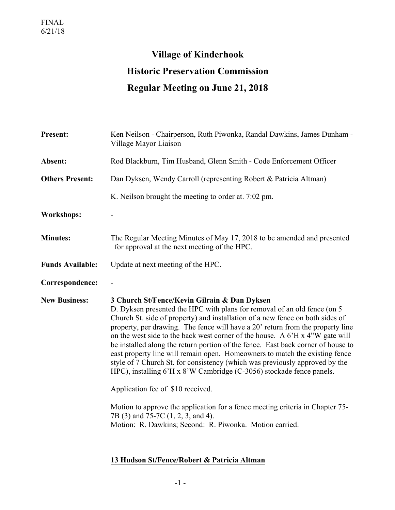## **Village of Kinderhook Historic Preservation Commission Regular Meeting on June 21, 2018**

| <b>Present:</b>         | Ken Neilson - Chairperson, Ruth Piwonka, Randal Dawkins, James Dunham -<br>Village Mayor Liaison                                                                                                                                                                                                                                                                                                                                                                                                                                                                                                                                                                                                                                                                                                                                                                                                                             |
|-------------------------|------------------------------------------------------------------------------------------------------------------------------------------------------------------------------------------------------------------------------------------------------------------------------------------------------------------------------------------------------------------------------------------------------------------------------------------------------------------------------------------------------------------------------------------------------------------------------------------------------------------------------------------------------------------------------------------------------------------------------------------------------------------------------------------------------------------------------------------------------------------------------------------------------------------------------|
| Absent:                 | Rod Blackburn, Tim Husband, Glenn Smith - Code Enforcement Officer                                                                                                                                                                                                                                                                                                                                                                                                                                                                                                                                                                                                                                                                                                                                                                                                                                                           |
| <b>Others Present:</b>  | Dan Dyksen, Wendy Carroll (representing Robert & Patricia Altman)                                                                                                                                                                                                                                                                                                                                                                                                                                                                                                                                                                                                                                                                                                                                                                                                                                                            |
|                         | K. Neilson brought the meeting to order at. 7:02 pm.                                                                                                                                                                                                                                                                                                                                                                                                                                                                                                                                                                                                                                                                                                                                                                                                                                                                         |
| <b>Workshops:</b>       |                                                                                                                                                                                                                                                                                                                                                                                                                                                                                                                                                                                                                                                                                                                                                                                                                                                                                                                              |
| <b>Minutes:</b>         | The Regular Meeting Minutes of May 17, 2018 to be amended and presented<br>for approval at the next meeting of the HPC.                                                                                                                                                                                                                                                                                                                                                                                                                                                                                                                                                                                                                                                                                                                                                                                                      |
| <b>Funds Available:</b> | Update at next meeting of the HPC.                                                                                                                                                                                                                                                                                                                                                                                                                                                                                                                                                                                                                                                                                                                                                                                                                                                                                           |
| Correspondence:         |                                                                                                                                                                                                                                                                                                                                                                                                                                                                                                                                                                                                                                                                                                                                                                                                                                                                                                                              |
| <b>New Business:</b>    | 3 Church St/Fence/Kevin Gilrain & Dan Dyksen<br>D. Dyksen presented the HPC with plans for removal of an old fence (on 5<br>Church St. side of property) and installation of a new fence on both sides of<br>property, per drawing. The fence will have a 20' return from the property line<br>on the west side to the back west corner of the house. A 6'H x 4"W gate will<br>be installed along the return portion of the fence. East back corner of house to<br>east property line will remain open. Homeowners to match the existing fence<br>style of 7 Church St. for consistency (which was previously approved by the<br>HPC), installing 6'H x 8'W Cambridge (C-3056) stockade fence panels.<br>Application fee of \$10 received.<br>Motion to approve the application for a fence meeting criteria in Chapter 75-<br>7B (3) and 75-7C (1, 2, 3, and 4).<br>Motion: R. Dawkins; Second: R. Piwonka. Motion carried. |

## **13 Hudson St/Fence/Robert & Patricia Altman**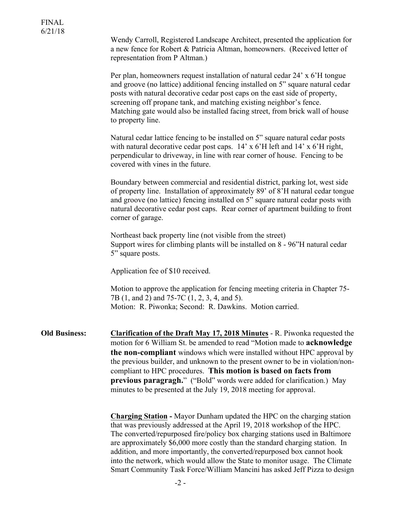| U/∠1/10              | Wendy Carroll, Registered Landscape Architect, presented the application for<br>a new fence for Robert & Patricia Altman, homeowners. (Received letter of<br>representation from P Altman.)                                                                                                                                                                                                                                                                                                                                                       |
|----------------------|---------------------------------------------------------------------------------------------------------------------------------------------------------------------------------------------------------------------------------------------------------------------------------------------------------------------------------------------------------------------------------------------------------------------------------------------------------------------------------------------------------------------------------------------------|
|                      | Per plan, homeowners request installation of natural cedar 24' x 6'H tongue<br>and groove (no lattice) additional fencing installed on 5" square natural cedar<br>posts with natural decorative cedar post caps on the east side of property,<br>screening off propane tank, and matching existing neighbor's fence.<br>Matching gate would also be installed facing street, from brick wall of house<br>to property line.                                                                                                                        |
|                      | Natural cedar lattice fencing to be installed on 5" square natural cedar posts<br>with natural decorative cedar post caps. 14' x 6'H left and 14' x 6'H right,<br>perpendicular to driveway, in line with rear corner of house. Fencing to be<br>covered with vines in the future.                                                                                                                                                                                                                                                                |
|                      | Boundary between commercial and residential district, parking lot, west side<br>of property line. Installation of approximately 89' of 8'H natural cedar tongue<br>and groove (no lattice) fencing installed on 5" square natural cedar posts with<br>natural decorative cedar post caps. Rear corner of apartment building to front<br>corner of garage.                                                                                                                                                                                         |
|                      | Northeast back property line (not visible from the street)<br>Support wires for climbing plants will be installed on 8 - 96"H natural cedar<br>5" square posts.                                                                                                                                                                                                                                                                                                                                                                                   |
|                      | Application fee of \$10 received.                                                                                                                                                                                                                                                                                                                                                                                                                                                                                                                 |
|                      | Motion to approve the application for fencing meeting criteria in Chapter 75-<br>7B (1, and 2) and 75-7C (1, 2, 3, 4, and 5).<br>Motion: R. Piwonka; Second: R. Dawkins. Motion carried.                                                                                                                                                                                                                                                                                                                                                          |
| <b>Old Business:</b> | <b>Clarification of the Draft May 17, 2018 Minutes - R. Piwonka requested the</b><br>motion for 6 William St. be amended to read "Motion made to <b>acknowledge</b><br>the non-compliant windows which were installed without HPC approval by<br>the previous builder, and unknown to the present owner to be in violation/non-<br>compliant to HPC procedures. This motion is based on facts from<br>previous paragragh." ("Bold" words were added for clarification.) May<br>minutes to be presented at the July 19, 2018 meeting for approval. |
|                      | <b>Charging Station</b> - Mayor Dunham updated the HPC on the charging station<br>that was previously addressed at the April 19, 2018 workshop of the HPC.<br>The converted/repurposed fire/policy box charging stations used in Baltimore<br>are approximately \$6,000 more costly than the standard charging station. In<br>addition, and more importantly, the converted/repurposed box cannot hook                                                                                                                                            |

into the network, which would allow the State to monitor usage. The Climate Smart Community Task Force/William Mancini has asked Jeff Pizza to design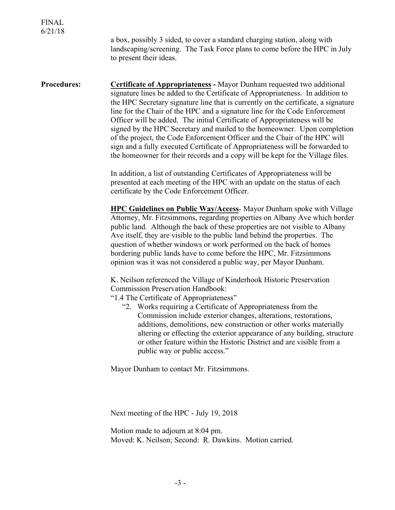a box, possibly 3 sided, to cover a standard charging station, along with landscaping/screening. The Task Force plans to come before the HPC in July to present their ideas.

**Procedures: Certificate of Appropriateness -** Mayor Dunham requested two additional signature lines be added to the Certificate of Appropriateness. In addition to the HPC Secretary signature line that is currently on the certificate, a signature line for the Chair of the HPC and a signature line for the Code Enforcement Officer will be added. The initial Certificate of Appropriateness will be signed by the HPC Secretary and mailed to the homeowner. Upon completion of the project, the Code Enforcement Officer and the Chair of the HPC will sign and a fully executed Certificate of Appropriateness will be forwarded to the homeowner for their records and a copy will be kept for the Village files.

> In addition, a list of outstanding Certificates of Appropriateness will be presented at each meeting of the HPC with an update on the status of each certificate by the Code Enforcement Officer.

**HPC Guidelines on Public Way/Access**- Mayor Dunham spoke with Village Attorney, Mr. Fitzsimmons, regarding properties on Albany Ave which border public land. Although the back of these properties are not visible to Albany Ave itself, they are visible to the public land behind the properties. The question of whether windows or work performed on the back of homes bordering public lands have to come before the HPC, Mr. Fitzsimmons opinion was it was not considered a public way, per Mayor Dunham.

K. Neilson referenced the Village of Kinderhook Historic Preservation Commission Preservation Handbook:

"1.4 The Certificate of Appropriateness"

"2. Works requiring a Certificate of Appropriateness from the Commission include exterior changes, alterations, restorations, additions, demolitions, new construction or other works materially altering or effecting the exterior appearance of any building, structure or other feature within the Historic District and are visible from a public way or public access."

Mayor Dunham to contact Mr. Fitzsimmons.

Next meeting of the HPC - July 19, 2018

Motion made to adjourn at 8:04 pm. Moved: K. Neilson; Second: R. Dawkins. Motion carried.